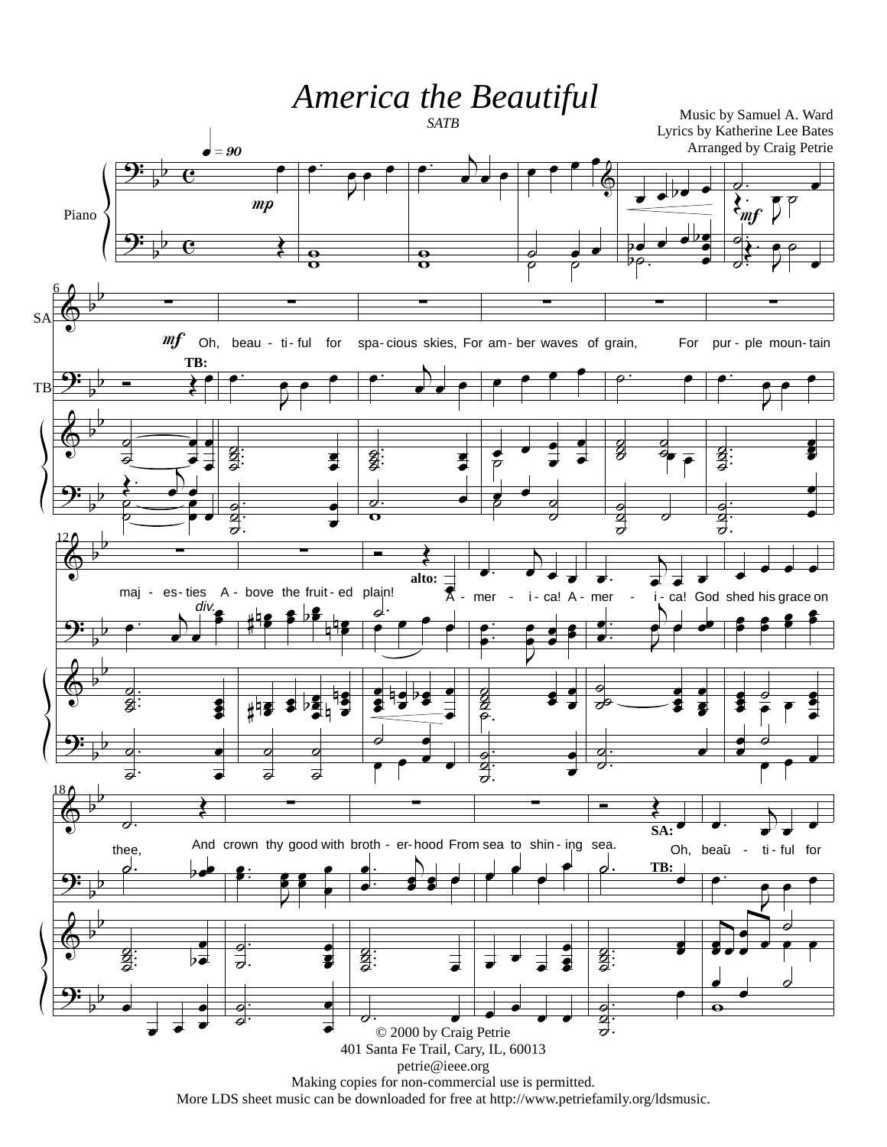## *America the Beautiful*



More LDS sheet music can be downloaded for free at http://www.petriefamily.org/ldsmusic.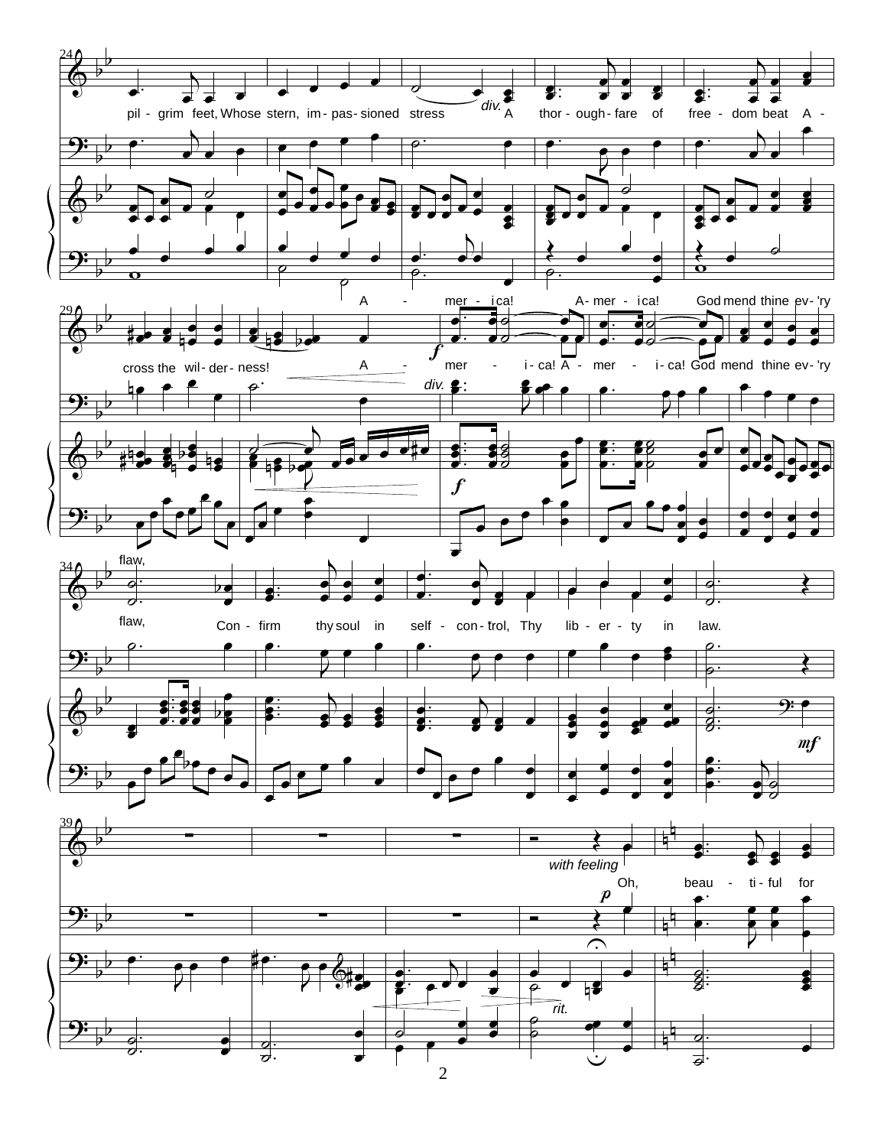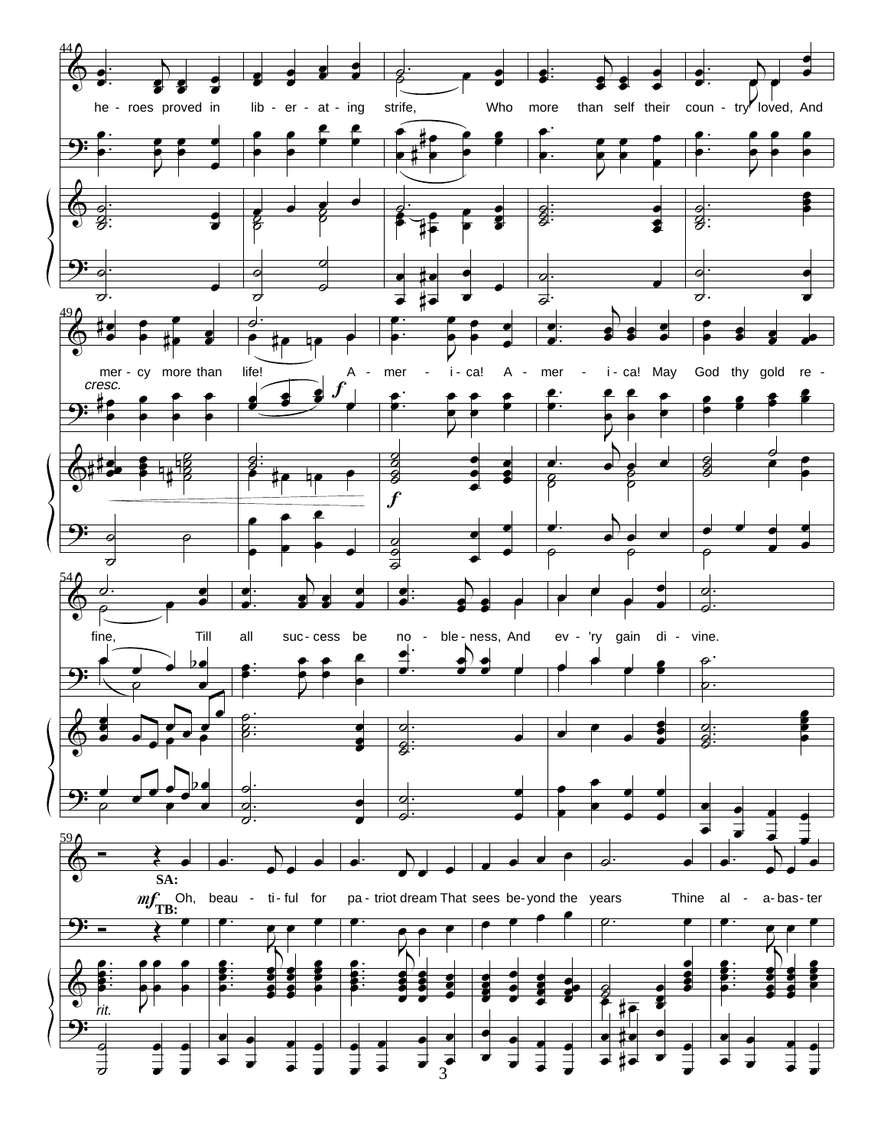